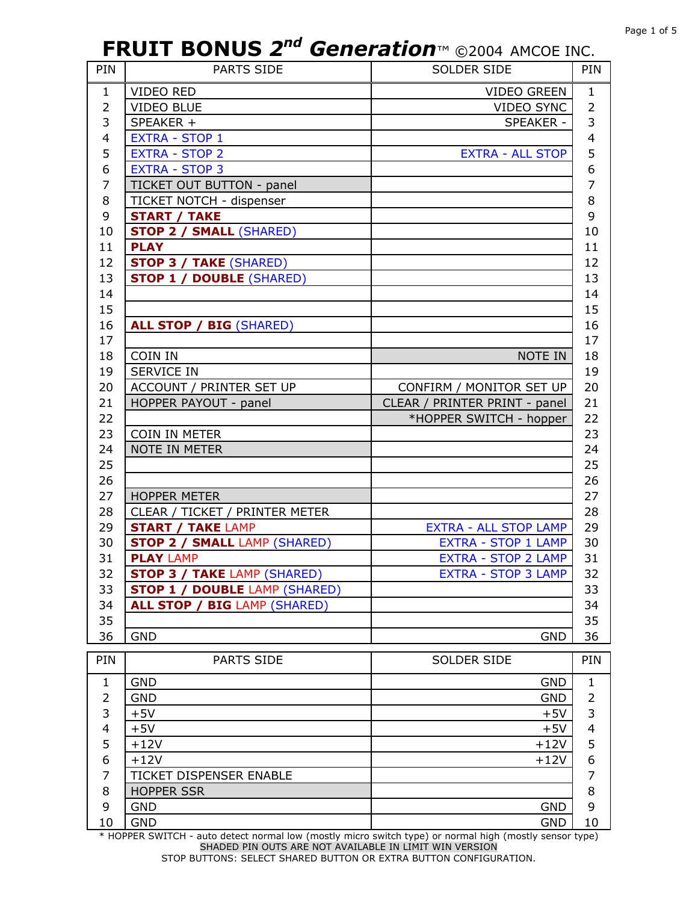| PIN            | <b>PARTS SIDE</b>                    | SOLDER SIDE                   | PIN                     |
|----------------|--------------------------------------|-------------------------------|-------------------------|
| $\mathbf{1}$   | <b>VIDEO RED</b>                     | <b>VIDEO GREEN</b>            | $\mathbf{1}$            |
| $\overline{2}$ | <b>VIDEO BLUE</b>                    | <b>VIDEO SYNC</b>             | $\overline{2}$          |
| 3              | SPEAKER +                            | <b>SPEAKER -</b>              | 3                       |
| 4              | <b>EXTRA - STOP 1</b>                |                               | $\overline{\mathbf{4}}$ |
| 5              | <b>EXTRA - STOP 2</b>                | <b>EXTRA - ALL STOP</b>       | 5                       |
| 6              | <b>EXTRA - STOP 3</b>                |                               | 6                       |
| 7              | TICKET OUT BUTTON - panel            |                               | $\overline{7}$          |
| 8              | TICKET NOTCH - dispenser             |                               | 8                       |
| 9              | <b>START / TAKE</b>                  |                               | 9                       |
| 10             | <b>STOP 2 / SMALL (SHARED)</b>       |                               | 10                      |
| 11             | <b>PLAY</b>                          |                               | 11                      |
| 12             | <b>STOP 3 / TAKE (SHARED)</b>        |                               | 12                      |
| 13             | <b>STOP 1 / DOUBLE (SHARED)</b>      |                               | 13                      |
| 14             |                                      |                               | 14                      |
| 15             |                                      |                               | 15                      |
| 16             | <b>ALL STOP / BIG (SHARED)</b>       |                               | 16                      |
| 17             |                                      |                               | 17                      |
| 18             | COIN IN                              | NOTE IN                       | 18                      |
| 19             | <b>SERVICE IN</b>                    |                               | 19                      |
| 20             | ACCOUNT / PRINTER SET UP             | CONFIRM / MONITOR SET UP      | 20                      |
| 21             | HOPPER PAYOUT - panel                | CLEAR / PRINTER PRINT - panel | 21                      |
| 22             |                                      | *HOPPER SWITCH - hopper       | 22                      |
| 23             | COIN IN METER                        |                               | 23                      |
| 24             | NOTE IN METER                        |                               | 24                      |
| 25             |                                      |                               | 25                      |
| 26             |                                      |                               | 26                      |
| 27             | <b>HOPPER METER</b>                  |                               | 27                      |
| 28             | CLEAR / TICKET / PRINTER METER       |                               | 28                      |
| 29             | <b>START / TAKE LAMP</b>             | <b>EXTRA - ALL STOP LAMP</b>  | 29                      |
| 30             | <b>STOP 2 / SMALL LAMP (SHARED)</b>  | <b>EXTRA - STOP 1 LAMP</b>    | 30                      |
| 31             | <b>PLAY LAMP</b>                     | <b>EXTRA - STOP 2 LAMP</b>    | 31                      |
| 32             | <b>STOP 3 / TAKE LAMP (SHARED)</b>   | EXTRA - STOP 3 LAMP           | 32                      |
| 33             | <b>STOP 1 / DOUBLE LAMP (SHARED)</b> |                               | 33                      |
| 34             | <b>ALL STOP / BIG LAMP (SHARED)</b>  |                               | 34                      |
| 35             |                                      |                               | 35                      |
| 36             | <b>GND</b>                           | <b>GND</b>                    | 36                      |
| PIN            | PARTS SIDE                           | <b>SOLDER SIDE</b>            | PIN                     |
| 1              | <b>GND</b>                           | <b>GND</b>                    | 1                       |
| 2              | <b>GND</b>                           | <b>GND</b>                    | 2                       |
| 3              | $+5V$                                | $+5V$                         | 3                       |
| 4              | $+5V$                                | $+5V$                         | 4                       |
| 5              | $+12V$                               | $+12V$                        | 5                       |
| 6              | $+12V$                               | $+12V$                        | 6                       |
| 7              | TICKET DISPENSER ENABLE              |                               | $\overline{7}$          |
| 8              | <b>HOPPER SSR</b>                    |                               | 8                       |
| 9              | <b>GND</b>                           | <b>GND</b>                    | 9                       |
| 10             | <b>GND</b>                           | <b>GND</b>                    | 10                      |

\* HOPPER SWITCH - auto detect normal low (mostly micro switch type) or normal high (mostly sensor type) SHADED PIN OUTS ARE NOT AVAILABLE IN LIMIT WIN VERSION STOP BUTTONS: SELECT SHARED BUTTON OR EXTRA BUTTON CONFIGURATION.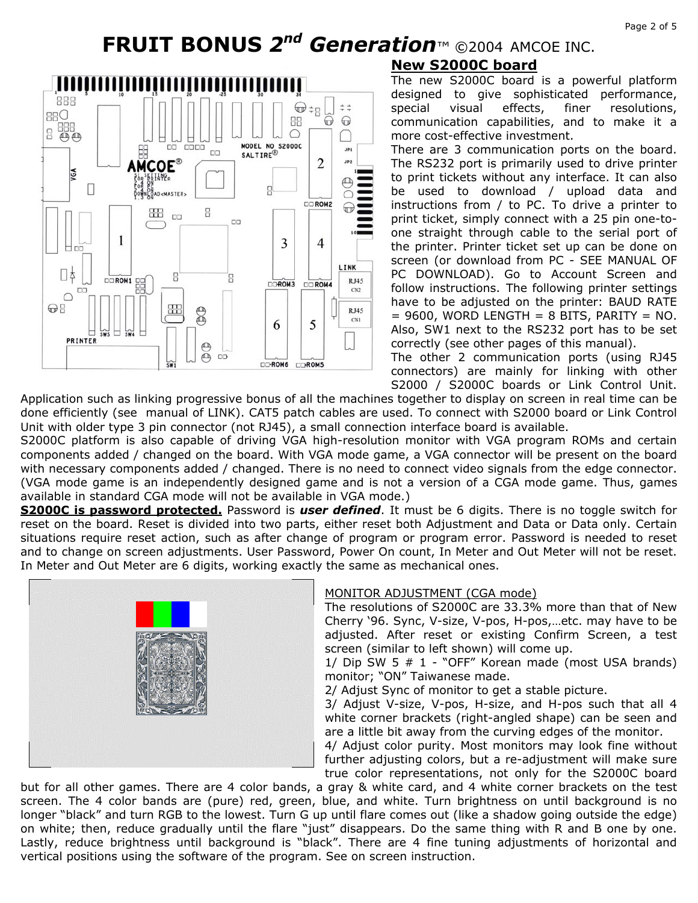

#### **New S2000C board**

The new S2000C board is a powerful platform designed to give sophisticated performance, special visual effects, finer resolutions, communication capabilities, and to make it a more cost-effective investment.

There are 3 communication ports on the board. The RS232 port is primarily used to drive printer to print tickets without any interface. It can also be used to download / upload data and instructions from / to PC. To drive a printer to print ticket, simply connect with a 25 pin one-toone straight through cable to the serial port of the printer. Printer ticket set up can be done on screen (or download from PC - SEE MANUAL OF PC DOWNLOAD). Go to Account Screen and follow instructions. The following printer settings have to be adjusted on the printer: BAUD RATE  $= 9600$ , WORD LENGTH  $= 8$  BITS, PARITY  $=$  NO. Also, SW1 next to the RS232 port has to be set correctly (see other pages of this manual).

The other 2 communication ports (using RJ45 connectors) are mainly for linking with other S2000 / S2000C boards or Link Control Unit.

Application such as linking progressive bonus of all the machines together to display on screen in real time can be done efficiently (see manual of LINK). CAT5 patch cables are used. To connect with S2000 board or Link Control Unit with older type 3 pin connector (not RJ45), a small connection interface board is available.

S2000C platform is also capable of driving VGA high-resolution monitor with VGA program ROMs and certain components added / changed on the board. With VGA mode game, a VGA connector will be present on the board with necessary components added / changed. There is no need to connect video signals from the edge connector. (VGA mode game is an independently designed game and is not a version of a CGA mode game. Thus, games available in standard CGA mode will not be available in VGA mode.)

**S2000C is password protected.** Password is *user defined*. It must be 6 digits. There is no toggle switch for reset on the board. Reset is divided into two parts, either reset both Adjustment and Data or Data only. Certain situations require reset action, such as after change of program or program error. Password is needed to reset and to change on screen adjustments. User Password, Power On count, In Meter and Out Meter will not be reset. In Meter and Out Meter are 6 digits, working exactly the same as mechanical ones.



#### MONITOR ADJUSTMENT (CGA mode)

The resolutions of S2000C are 33.3% more than that of New Cherry '96. Sync, V-size, V-pos, H-pos,…etc. may have to be adjusted. After reset or existing Confirm Screen, a test screen (similar to left shown) will come up.

1/ Dip SW 5 # 1 - "OFF" Korean made (most USA brands) monitor; "ON" Taiwanese made.

2/ Adjust Sync of monitor to get a stable picture.

3/ Adjust V-size, V-pos, H-size, and H-pos such that all 4 white corner brackets (right-angled shape) can be seen and are a little bit away from the curving edges of the monitor.

4/ Adjust color purity. Most monitors may look fine without further adjusting colors, but a re-adjustment will make sure true color representations, not only for the S2000C board

but for all other games. There are 4 color bands, a gray & white card, and 4 white corner brackets on the test screen. The 4 color bands are (pure) red, green, blue, and white. Turn brightness on until background is no longer "black" and turn RGB to the lowest. Turn G up until flare comes out (like a shadow going outside the edge) on white; then, reduce gradually until the flare "just" disappears. Do the same thing with R and B one by one. Lastly, reduce brightness until background is "black". There are 4 fine tuning adjustments of horizontal and vertical positions using the software of the program. See on screen instruction.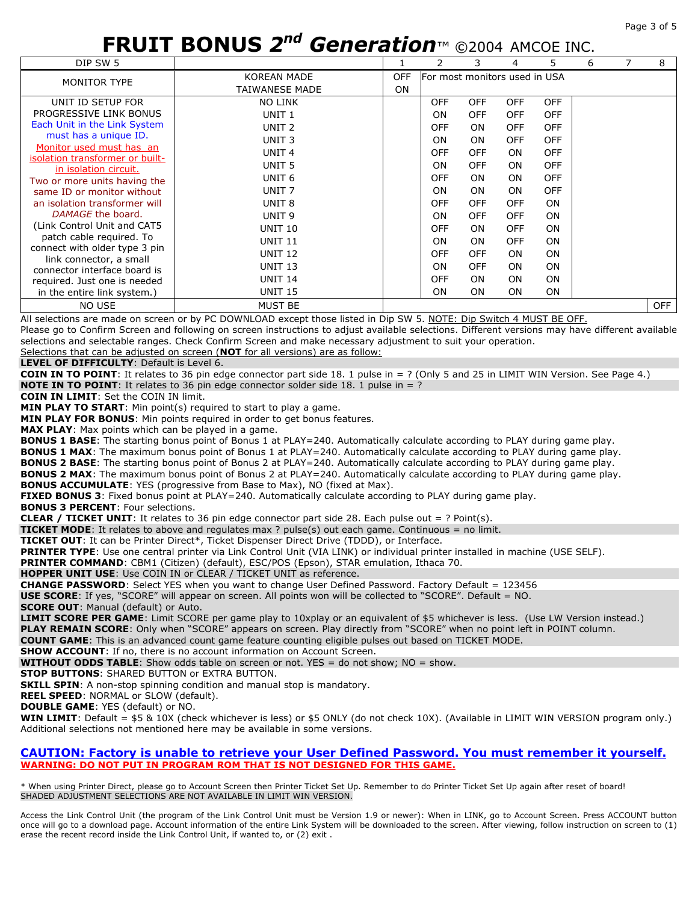| DIP SW 5                                                    |                       |                                             |            | 3          | 4          | 5.         | 6 | 8          |
|-------------------------------------------------------------|-----------------------|---------------------------------------------|------------|------------|------------|------------|---|------------|
| <b>MONITOR TYPE</b>                                         | <b>KOREAN MADE</b>    | <b>OFF</b><br>For most monitors used in USA |            |            |            |            |   |            |
|                                                             | <b>TAIWANESE MADE</b> | <b>ON</b>                                   |            |            |            |            |   |            |
| UNIT ID SETUP FOR                                           | <b>NO LINK</b>        |                                             | <b>OFF</b> | <b>OFF</b> | <b>OFF</b> | <b>OFF</b> |   |            |
| PROGRESSIVE LINK BONUS                                      | UNIT <sub>1</sub>     |                                             | <b>ON</b>  | <b>OFF</b> | <b>OFF</b> | <b>OFF</b> |   |            |
| Each Unit in the Link System                                | UNIT <sub>2</sub>     |                                             | OFF        | <b>ON</b>  | <b>OFF</b> | <b>OFF</b> |   |            |
| must has a unique ID.                                       | UNIT <sub>3</sub>     |                                             | <b>ON</b>  | <b>ON</b>  | <b>OFF</b> | <b>OFF</b> |   |            |
| Monitor used must has an<br>isolation transformer or built- | UNIT <sub>4</sub>     |                                             | <b>OFF</b> | <b>OFF</b> | <b>ON</b>  | <b>OFF</b> |   |            |
| in isolation circuit.                                       | UNIT <sub>5</sub>     |                                             | <b>ON</b>  | <b>OFF</b> | ON.        | <b>OFF</b> |   |            |
| Two or more units having the                                | UNIT <sub>6</sub>     |                                             | <b>OFF</b> | ON         | <b>ON</b>  | <b>OFF</b> |   |            |
| same ID or monitor without                                  | UNIT <sub>7</sub>     |                                             | <b>ON</b>  | <b>ON</b>  | ON.        | <b>OFF</b> |   |            |
| an isolation transformer will                               | UNIT <sub>8</sub>     |                                             | OFF        | <b>OFF</b> | <b>OFF</b> | <b>ON</b>  |   |            |
| DAMAGE the board.                                           | UNIT <sub>9</sub>     |                                             | ON         | <b>OFF</b> | <b>OFF</b> | <b>ON</b>  |   |            |
| (Link Control Unit and CAT5                                 | <b>UNIT 10</b>        |                                             | <b>OFF</b> | <b>ON</b>  | <b>OFF</b> | <b>ON</b>  |   |            |
| patch cable required. To                                    | <b>UNIT 11</b>        |                                             | <b>ON</b>  | <b>ON</b>  | <b>OFF</b> | <b>ON</b>  |   |            |
| connect with older type 3 pin                               | <b>UNIT 12</b>        |                                             | <b>OFF</b> | <b>OFF</b> | ON.        | <b>ON</b>  |   |            |
| link connector, a small<br>connector interface board is     | <b>UNIT 13</b>        |                                             | <b>ON</b>  | <b>OFF</b> | ON.        | <b>ON</b>  |   |            |
| required. Just one is needed                                | <b>UNIT 14</b>        |                                             | <b>OFF</b> | <b>ON</b>  | <b>ON</b>  | <b>ON</b>  |   |            |
| in the entire link system.)                                 | <b>UNIT 15</b>        |                                             | ON         | <b>ON</b>  | <b>ON</b>  | ON         |   |            |
| <b>NO USE</b>                                               | <b>MUST BE</b>        |                                             |            |            |            |            |   | <b>OFF</b> |

All selections are made on screen or by PC DOWNLOAD except those listed in Dip SW 5. NOTE: Dip Switch 4 MUST BE OFF. Please go to Confirm Screen and following on screen instructions to adjust available selections. Different versions may have different available selections and selectable ranges. Check Confirm Screen and make necessary adjustment to suit your operation.

Selections that can be adjusted on screen (**NOT** for all versions) are as follow:

**LEVEL OF DIFFICULTY**: Default is Level 6.

**COIN IN TO POINT**: It relates to 36 pin edge connector part side 18. 1 pulse in = ? (Only 5 and 25 in LIMIT WIN Version. See Page 4.) **NOTE IN TO POINT**: It relates to 36 pin edge connector solder side 18. 1 pulse in = ?

**COIN IN LIMIT**: Set the COIN IN limit.

**MIN PLAY TO START**: Min point(s) required to start to play a game.

**MIN PLAY FOR BONUS**: Min points required in order to get bonus features.

**MAX PLAY**: Max points which can be played in a game.

**BONUS 1 BASE**: The starting bonus point of Bonus 1 at PLAY=240. Automatically calculate according to PLAY during game play.

**BONUS 1 MAX**: The maximum bonus point of Bonus 1 at PLAY=240. Automatically calculate according to PLAY during game play.

**BONUS 2 BASE**: The starting bonus point of Bonus 2 at PLAY=240. Automatically calculate according to PLAY during game play.

**BONUS 2 MAX**: The maximum bonus point of Bonus 2 at PLAY=240. Automatically calculate according to PLAY during game play. **BONUS ACCUMULATE:** YES (progressive from Base to Max), NO (fixed at Max).

**FIXED BONUS 3**: Fixed bonus point at PLAY=240. Automatically calculate according to PLAY during game play.

**BONUS 3 PERCENT**: Four selections.

**CLEAR / TICKET UNIT**: It relates to 36 pin edge connector part side 28. Each pulse out = ? Point(s).

**TICKET MODE**: It relates to above and regulates max ? pulse(s) out each game. Continuous = no limit.

**TICKET OUT**: It can be Printer Direct\*, Ticket Dispenser Direct Drive (TDDD), or Interface.

**PRINTER TYPE**: Use one central printer via Link Control Unit (VIA LINK) or individual printer installed in machine (USE SELF).

**PRINTER COMMAND**: CBM1 (Citizen) (default), ESC/POS (Epson), STAR emulation, Ithaca 70.

**HOPPER UNIT USE**: Use COIN IN or CLEAR / TICKET UNIT as reference.

CHANGE PASSWORD: Select YES when you want to change User Defined Password. Factory Default = 123456

**USE SCORE**: If yes, "SCORE" will appear on screen. All points won will be collected to "SCORE". Default = NO.

**SCORE OUT**: Manual (default) or Auto.

**LIMIT SCORE PER GAME**: Limit SCORE per game play to 10xplay or an equivalent of \$5 whichever is less. (Use LW Version instead.) **PLAY REMAIN SCORE**: Only when "SCORE" appears on screen. Play directly from "SCORE" when no point left in POINT column.

**COUNT GAME**: This is an advanced count game feature counting eligible pulses out based on TICKET MODE.

**SHOW ACCOUNT:** If no, there is no account information on Account Screen.

**WITHOUT ODDS TABLE**: Show odds table on screen or not. YES = do not show; NO = show.

**STOP BUTTONS**: SHARED BUTTON or EXTRA BUTTON.

**SKILL SPIN:** A non-stop spinning condition and manual stop is mandatory.

**REEL SPEED**: NORMAL or SLOW (default).

**DOUBLE GAME**: YES (default) or NO.

**WIN LIMIT**: Default = \$5 & 10X (check whichever is less) or \$5 ONLY (do not check 10X). (Available in LIMIT WIN VERSION program only.) Additional selections not mentioned here may be available in some versions.

#### **CAUTION: Factory is unable to retrieve your User Defined Password. You must remember it yourself. WARNING: DO NOT PUT IN PROGRAM ROM THAT IS NOT DESIGNED FOR THIS GAME.**

\* When using Printer Direct, please go to Account Screen then Printer Ticket Set Up. Remember to do Printer Ticket Set Up again after reset of board! SHADED ADJUSTMENT SELECTIONS ARE NOT AVAILABLE IN LIMIT WIN VERSION.

Access the Link Control Unit (the program of the Link Control Unit must be Version 1.9 or newer): When in LINK, go to Account Screen. Press ACCOUNT button once will go to a download page. Account information of the entire Link System will be downloaded to the screen. After viewing, follow instruction on screen to (1) erase the recent record inside the Link Control Unit, if wanted to, or (2) exit .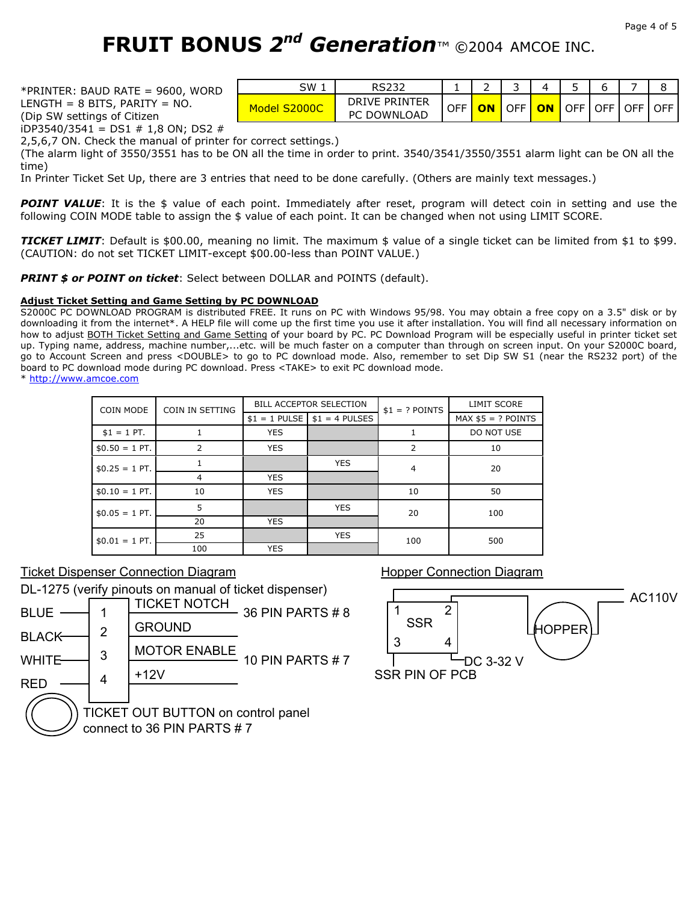\*PRINTER: BAUD RATE = 9600, WORD LENGTH =  $8$  BITS, PARITY = NO. (Dip SW settings of Citizen

iDP3540/3541 = DS1  $\#$  1,8 ON; DS2  $\#$ 

| SW                     |                                          |            |    | ے          |    |                                                       |       |            |            |
|------------------------|------------------------------------------|------------|----|------------|----|-------------------------------------------------------|-------|------------|------------|
| <b>S2000C</b><br>Model | <b>DRIVE PRINTER</b><br>C DOWNLOAD<br>PC | <b>OFF</b> | ON | <b>OFF</b> | ON | $\overline{\phantom{a}}$ OFF $\overline{\phantom{a}}$ | OFF I | <b>OFF</b> | <b>OFF</b> |

2,5,6,7 ON. Check the manual of printer for correct settings.)

(The alarm light of 3550/3551 has to be ON all the time in order to print. 3540/3541/3550/3551 alarm light can be ON all the time)

In Printer Ticket Set Up, there are 3 entries that need to be done carefully. (Others are mainly text messages.)

**POINT VALUE**: It is the \$ value of each point. Immediately after reset, program will detect coin in setting and use the following COIN MODE table to assign the \$ value of each point. It can be changed when not using LIMIT SCORE.

*TICKET LIMIT*: Default is \$00.00, meaning no limit. The maximum \$ value of a single ticket can be limited from \$1 to \$99. (CAUTION: do not set TICKET LIMIT-except \$00.00-less than POINT VALUE.)

**PRINT \$ or POINT on ticket**: Select between DOLLAR and POINTS (default).

#### **Adjust Ticket Setting and Game Setting by PC DOWNLOAD**

S2000C PC DOWNLOAD PROGRAM is distributed FREE. It runs on PC with Windows 95/98. You may obtain a free copy on a 3.5" disk or by downloading it from the internet\*. A HELP file will come up the first time you use it after installation. You will find all necessary information on how to adjust BOTH Ticket Setting and Game Setting of your board by PC. PC Download Program will be especially useful in printer ticket set up. Typing name, address, machine number,...etc. will be much faster on a computer than through on screen input. On your S2000C board, go to Account Screen and press <DOUBLE> to go to PC download mode. Also, remember to set Dip SW S1 (near the RS232 port) of the board to PC download mode during PC download. Press <TAKE> to exit PC download mode. \* http://www.amcoe.com

| COIN MODE       | COIN IN SETTING |            | <b>BILL ACCEPTOR SELECTION</b> | $$1 = ?$ POINTS | <b>LIMIT SCORE</b>  |  |
|-----------------|-----------------|------------|--------------------------------|-----------------|---------------------|--|
|                 |                 |            | $$1 = 1$ PULSE $$1 = 4$ PULSES |                 | $MAX $5 = ?$ POINTS |  |
| $$1 = 1$ PT.    |                 | <b>YES</b> |                                |                 | DO NOT USE          |  |
| $$0.50 = 1$ PT. | 2               | <b>YES</b> |                                | 2               | 10                  |  |
| $$0.25 = 1$ PT. |                 |            | <b>YES</b>                     | $\overline{4}$  | 20                  |  |
|                 | 4               | <b>YES</b> |                                |                 |                     |  |
| $$0.10 = 1$ PT. | 10              | <b>YES</b> |                                | 10              | 50                  |  |
| $$0.05 = 1$ PT. | 5               |            | <b>YES</b>                     | 20              | 100                 |  |
|                 | 20              | <b>YES</b> |                                |                 |                     |  |
| $$0.01 = 1$ PT. | 25              |            | <b>YES</b>                     | 100             | 500                 |  |
|                 | 100             | <b>YES</b> |                                |                 |                     |  |

#### Ticket Dispenser Connection Diagram

DL-1275 (verify pinouts on manual of ticket dispenser)

| <b>BLUE</b>                                                      |   | TICKET NOTCH        | 36 PIN PARTS # 8       |  |  |  |  |
|------------------------------------------------------------------|---|---------------------|------------------------|--|--|--|--|
| $\mathcal{P}$                                                    |   | <b>GROUND</b>       |                        |  |  |  |  |
| <b>BLACK</b>                                                     | 3 | <b>MOTOR ENABLE</b> |                        |  |  |  |  |
| WHITE                                                            |   | $+12V$              | <b>10 PIN PARTS #7</b> |  |  |  |  |
|                                                                  |   |                     |                        |  |  |  |  |
| TICKET OUT BUTTON on control panel<br>connect to 36 PIN PARTS #7 |   |                     |                        |  |  |  |  |

Hopper Connection Diagram

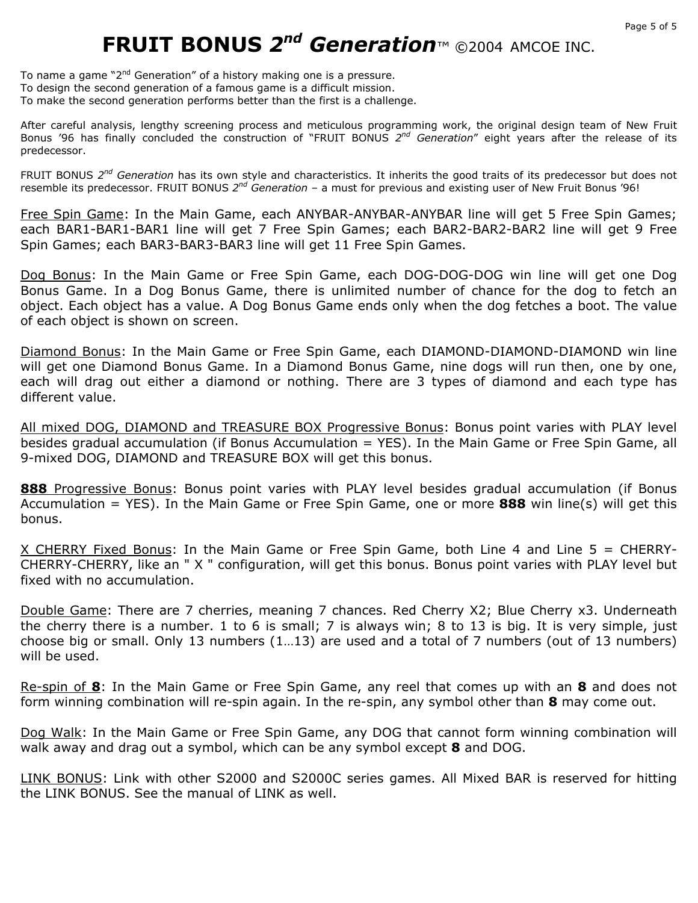To name a game "2<sup>nd</sup> Generation" of a history making one is a pressure. To design the second generation of a famous game is a difficult mission. To make the second generation performs better than the first is a challenge.

After careful analysis, lengthy screening process and meticulous programming work, the original design team of New Fruit Bonus '96 has finally concluded the construction of "FRUIT BONUS *2nd Generation*" eight years after the release of its predecessor.

FRUIT BONUS *2nd Generation* has its own style and characteristics. It inherits the good traits of its predecessor but does not resemble its predecessor. FRUIT BONUS *2nd Generation* – a must for previous and existing user of New Fruit Bonus '96!

Free Spin Game: In the Main Game, each ANYBAR-ANYBAR-ANYBAR line will get 5 Free Spin Games; each BAR1-BAR1-BAR1 line will get 7 Free Spin Games; each BAR2-BAR2-BAR2 line will get 9 Free Spin Games; each BAR3-BAR3-BAR3 line will get 11 Free Spin Games.

Dog Bonus: In the Main Game or Free Spin Game, each DOG-DOG-DOG win line will get one Dog Bonus Game. In a Dog Bonus Game, there is unlimited number of chance for the dog to fetch an object. Each object has a value. A Dog Bonus Game ends only when the dog fetches a boot. The value of each object is shown on screen.

Diamond Bonus: In the Main Game or Free Spin Game, each DIAMOND-DIAMOND-DIAMOND win line will get one Diamond Bonus Game. In a Diamond Bonus Game, nine dogs will run then, one by one, each will drag out either a diamond or nothing. There are 3 types of diamond and each type has different value.

All mixed DOG, DIAMOND and TREASURE BOX Progressive Bonus: Bonus point varies with PLAY level besides gradual accumulation (if Bonus Accumulation = YES). In the Main Game or Free Spin Game, all 9-mixed DOG, DIAMOND and TREASURE BOX will get this bonus.

888 Progressive Bonus: Bonus point varies with PLAY level besides gradual accumulation (if Bonus Accumulation = YES). In the Main Game or Free Spin Game, one or more **888** win line(s) will get this bonus.

X CHERRY Fixed Bonus: In the Main Game or Free Spin Game, both Line 4 and Line 5 = CHERRY-CHERRY-CHERRY, like an " X " configuration, will get this bonus. Bonus point varies with PLAY level but fixed with no accumulation.

Double Game: There are 7 cherries, meaning 7 chances. Red Cherry X2; Blue Cherry x3. Underneath the cherry there is a number. 1 to 6 is small; 7 is always win; 8 to 13 is big. It is very simple, just choose big or small. Only 13 numbers (1…13) are used and a total of 7 numbers (out of 13 numbers) will be used.

Re-spin of **8**: In the Main Game or Free Spin Game, any reel that comes up with an **8** and does not form winning combination will re-spin again. In the re-spin, any symbol other than **8** may come out.

Dog Walk: In the Main Game or Free Spin Game, any DOG that cannot form winning combination will walk away and drag out a symbol, which can be any symbol except **8** and DOG.

LINK BONUS: Link with other S2000 and S2000C series games. All Mixed BAR is reserved for hitting the LINK BONUS. See the manual of LINK as well.